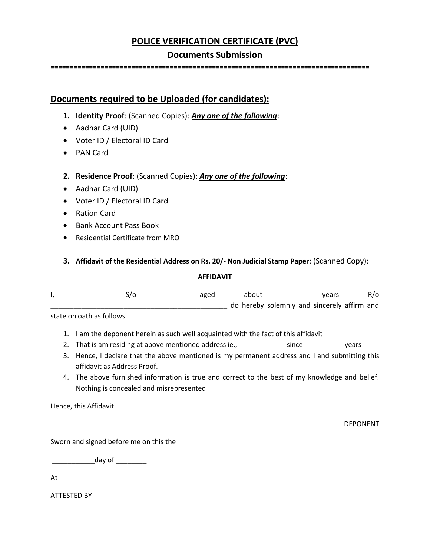# **POLICE VERIFICATION CERTIFICATE (PVC)**

### **Documents Submission**

**===================================================================================**

## **Documents required to be Uploaded (for candidates):**

- **1. Identity Proof**: (Scanned Copies): *Any one of the following*:
- Aadhar Card (UID)
- Voter ID / Electoral ID Card
- PAN Card
- **2. Residence Proof**: (Scanned Copies): *Any one of the following*:
- Aadhar Card (UID)
- Voter ID / Electoral ID Card
- Ration Card
- Bank Account Pass Book
- Residential Certificate from MRO
- **3. Affidavit of the Residential Address on Rs. 20/- Non Judicial Stamp Paper**: (Scanned Copy):

### **AFFIDAVIT**

I, \_\_\_\_\_\_\_\_\_\_\_S/o\_\_\_\_\_\_\_\_\_ aged about \_\_\_\_\_\_\_\_years R/o \_\_\_\_\_\_\_\_\_\_\_\_\_\_\_\_\_\_\_\_\_\_\_\_\_\_\_\_\_\_\_\_\_\_\_\_\_\_\_\_\_\_\_\_\_\_ do hereby solemnly and sincerely affirm and

state on oath as follows.

- 1. I am the deponent herein as such well acquainted with the fact of this affidavit
- 2. That is am residing at above mentioned address ie., \_\_\_\_\_\_\_\_\_\_\_\_\_ since \_\_\_\_\_\_\_\_\_\_\_\_ years
- 3. Hence, I declare that the above mentioned is my permanent address and I and submitting this affidavit as Address Proof.
- 4. The above furnished information is true and correct to the best of my knowledge and belief. Nothing is concealed and misrepresented

Hence, this Affidavit

DEPONENT

Sworn and signed before me on this the

 $\sim$  day of

At \_\_\_\_\_\_\_\_\_\_\_\_\_

ATTESTED BY